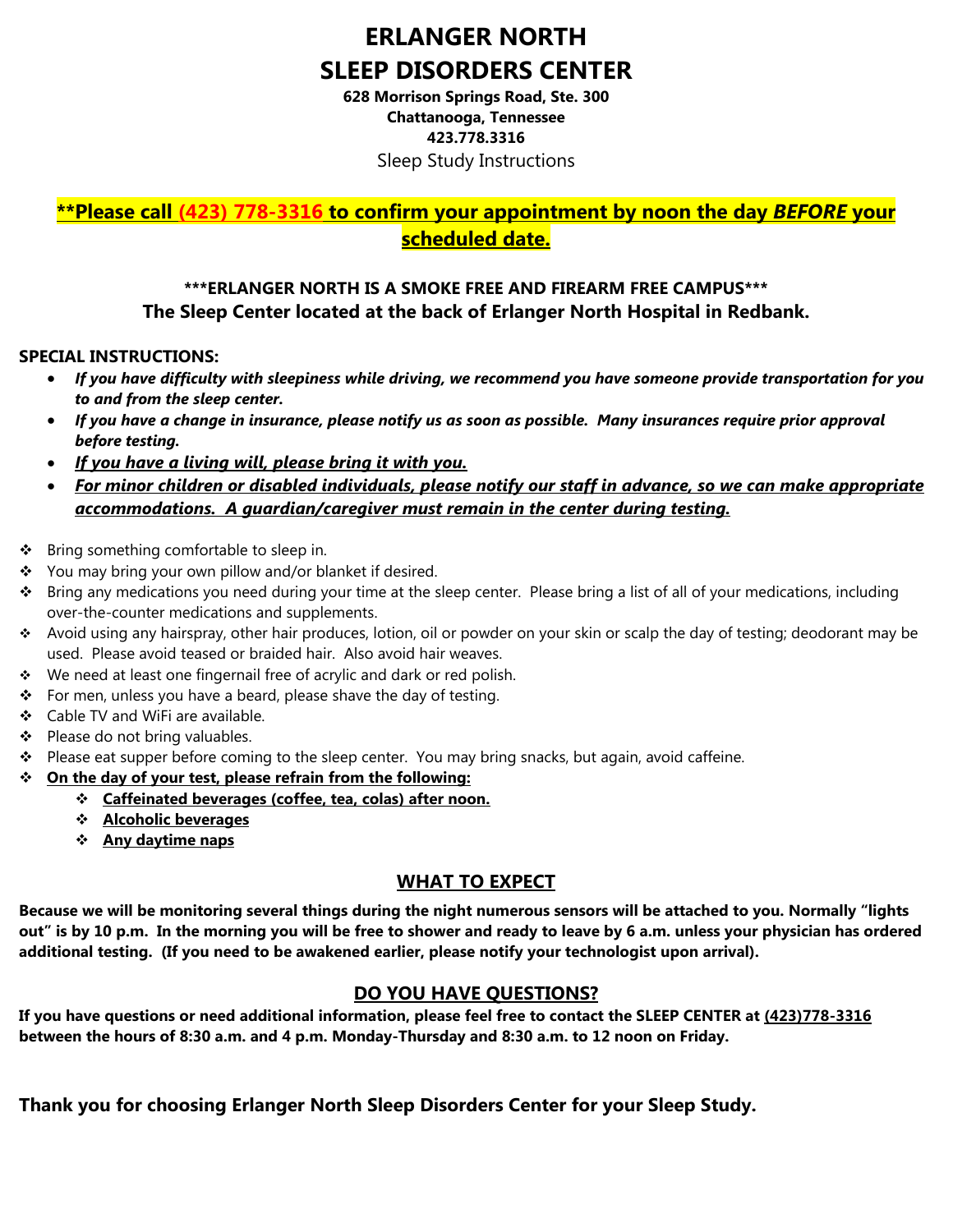# **ERLANGER NORTH SLEEP DISORDERS CENTER**

**628 Morrison Springs Road, Ste. 300 Chattanooga, Tennessee 423.778.3316**  Sleep Study Instructions

### **\*\*Please call (423) 778-3316 to confirm your appointment by noon the day** *BEFORE* **your scheduled date.**

#### **\*\*\*ERLANGER NORTH IS A SMOKE FREE AND FIREARM FREE CAMPUS\*\*\* The Sleep Center located at the back of Erlanger North Hospital in Redbank.**

#### **SPECIAL INSTRUCTIONS:**

- *If you have difficulty with sleepiness while driving, we recommend you have someone provide transportation for you to and from the sleep center.*
- *If you have a change in insurance, please notify us as soon as possible. Many insurances require prior approval before testing.*
- *If you have a living will, please bring it with you.*
- *For minor children or disabled individuals, please notify our staff in advance, so we can make appropriate accommodations. A guardian/caregiver must remain in the center during testing.*
- Bring something comfortable to sleep in.
- ❖ You may bring your own pillow and/or blanket if desired.
- Bring any medications you need during your time at the sleep center. Please bring a list of all of your medications, including over-the-counter medications and supplements.
- Avoid using any hairspray, other hair produces, lotion, oil or powder on your skin or scalp the day of testing; deodorant may be used. Please avoid teased or braided hair. Also avoid hair weaves.
- \* We need at least one fingernail free of acrylic and dark or red polish.
- $\div$  For men, unless you have a beard, please shave the day of testing.
- Cable TV and WiFi are available.
- ❖ Please do not bring valuables.
- \* Please eat supper before coming to the sleep center. You may bring snacks, but again, avoid caffeine.
- **On the day of your test, please refrain from the following:** 
	- **Caffeinated beverages (coffee, tea, colas) after noon.**
	- **Alcoholic beverages**
	- **Any daytime naps**

#### **WHAT TO EXPECT**

**Because we will be monitoring several things during the night numerous sensors will be attached to you. Normally "lights out" is by 10 p.m. In the morning you will be free to shower and ready to leave by 6 a.m. unless your physician has ordered additional testing. (If you need to be awakened earlier, please notify your technologist upon arrival).** 

#### **DO YOU HAVE QUESTIONS?**

**If you have questions or need additional information, please feel free to contact the SLEEP CENTER at (423)778-3316 between the hours of 8:30 a.m. and 4 p.m. Monday-Thursday and 8:30 a.m. to 12 noon on Friday.** 

**Thank you for choosing Erlanger North Sleep Disorders Center for your Sleep Study.**